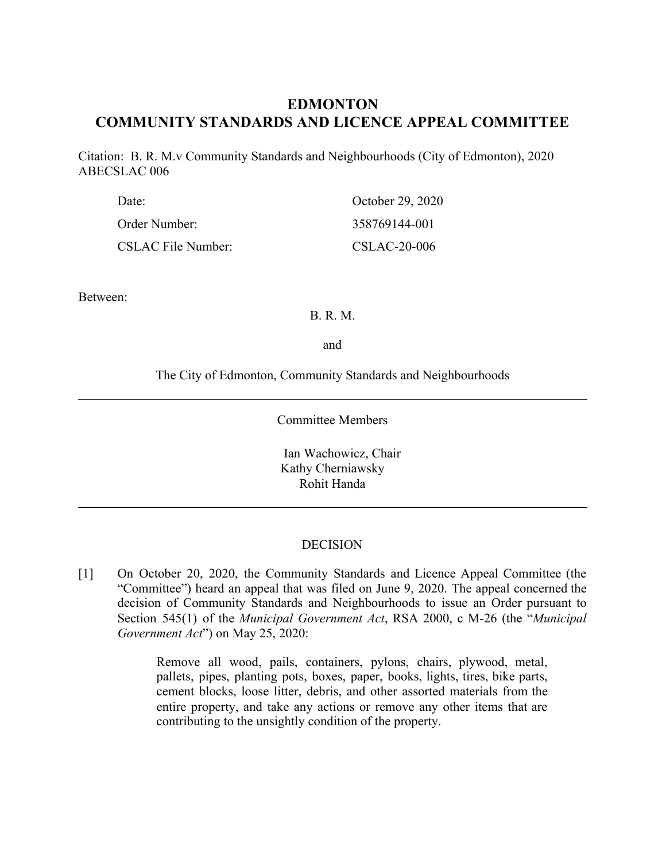# **EDMONTON COMMUNITY STANDARDS AND LICENCE APPEAL COMMITTEE**

Citation: B. R. M.v Community Standards and Neighbourhoods (City of Edmonton), 2020 ABECSLAC 006

| Date:                     | October 29, 2020 |
|---------------------------|------------------|
| Order Number:             | 358769144-001    |
| <b>CSLAC File Number:</b> | CSLAC-20-006     |

Between:

B. R. M.

and

The City of Edmonton, Community Standards and Neighbourhoods

Committee Members

Ian Wachowicz, Chair Kathy Cherniawsky Rohit Handa

# DECISION

[1] On October 20, 2020, the Community Standards and Licence Appeal Committee (the "Committee") heard an appeal that was filed on June 9, 2020. The appeal concerned the decision of Community Standards and Neighbourhoods to issue an Order pursuant to Section 545(1) of the *Municipal Government Act*, RSA 2000, c M-26 (the "*Municipal Government Act*") on May 25, 2020:

> Remove all wood, pails, containers, pylons, chairs, plywood, metal, pallets, pipes, planting pots, boxes, paper, books, lights, tires, bike parts, cement blocks, loose litter, debris, and other assorted materials from the entire property, and take any actions or remove any other items that are contributing to the unsightly condition of the property.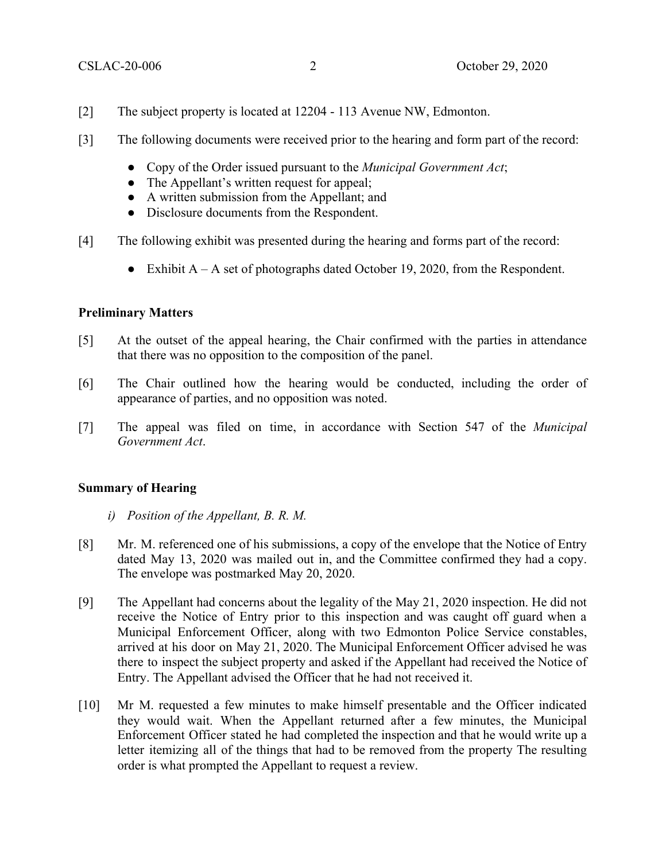- [2] The subject property is located at 12204 113 Avenue NW, Edmonton.
- [3] The following documents were received prior to the hearing and form part of the record:
	- Copy of the Order issued pursuant to the *Municipal Government Act*;
	- The Appellant's written request for appeal;
	- A written submission from the Appellant; and
	- Disclosure documents from the Respondent.
- [4] The following exhibit was presented during the hearing and forms part of the record:
	- Exhibit  $A A$  set of photographs dated October 19, 2020, from the Respondent.

# **Preliminary Matters**

- [5] At the outset of the appeal hearing, the Chair confirmed with the parties in attendance that there was no opposition to the composition of the panel.
- [6] The Chair outlined how the hearing would be conducted, including the order of appearance of parties, and no opposition was noted.
- [7] The appeal was filed on time, in accordance with Section 547 of the *Municipal Government Act*.

# **Summary of Hearing**

- *i) Position of the Appellant, B. R. M.*
- [8] Mr. M. referenced one of his submissions, a copy of the envelope that the Notice of Entry dated May 13, 2020 was mailed out in, and the Committee confirmed they had a copy. The envelope was postmarked May 20, 2020.
- [9] The Appellant had concerns about the legality of the May 21, 2020 inspection. He did not receive the Notice of Entry prior to this inspection and was caught off guard when a Municipal Enforcement Officer, along with two Edmonton Police Service constables, arrived at his door on May 21, 2020. The Municipal Enforcement Officer advised he was there to inspect the subject property and asked if the Appellant had received the Notice of Entry. The Appellant advised the Officer that he had not received it.
- [10] Mr M. requested a few minutes to make himself presentable and the Officer indicated they would wait. When the Appellant returned after a few minutes, the Municipal Enforcement Officer stated he had completed the inspection and that he would write up a letter itemizing all of the things that had to be removed from the property The resulting order is what prompted the Appellant to request a review.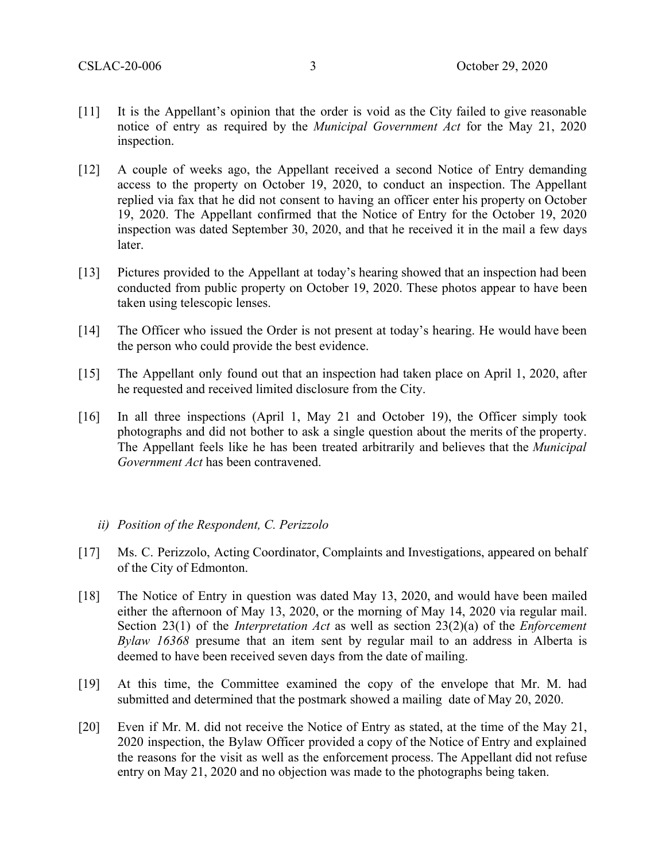- [11] It is the Appellant's opinion that the order is void as the City failed to give reasonable notice of entry as required by the *Municipal Government Act* for the May 21, 2020 inspection.
- [12] A couple of weeks ago, the Appellant received a second Notice of Entry demanding access to the property on October 19, 2020, to conduct an inspection. The Appellant replied via fax that he did not consent to having an officer enter his property on October 19, 2020. The Appellant confirmed that the Notice of Entry for the October 19, 2020 inspection was dated September 30, 2020, and that he received it in the mail a few days later.
- [13] Pictures provided to the Appellant at today's hearing showed that an inspection had been conducted from public property on October 19, 2020. These photos appear to have been taken using telescopic lenses.
- [14] The Officer who issued the Order is not present at today's hearing. He would have been the person who could provide the best evidence.
- [15] The Appellant only found out that an inspection had taken place on April 1, 2020, after he requested and received limited disclosure from the City.
- [16] In all three inspections (April 1, May 21 and October 19), the Officer simply took photographs and did not bother to ask a single question about the merits of the property. The Appellant feels like he has been treated arbitrarily and believes that the *Municipal Government Act* has been contravened.

- [17] Ms. C. Perizzolo, Acting Coordinator, Complaints and Investigations, appeared on behalf of the City of Edmonton.
- [18] The Notice of Entry in question was dated May 13, 2020, and would have been mailed either the afternoon of May 13, 2020, or the morning of May 14, 2020 via regular mail. Section 23(1) of the *Interpretation Act* as well as section 23(2)(a) of the *Enforcement Bylaw 16368* presume that an item sent by regular mail to an address in Alberta is deemed to have been received seven days from the date of mailing.
- [19] At this time, the Committee examined the copy of the envelope that Mr. M. had submitted and determined that the postmark showed a mailing date of May 20, 2020.
- [20] Even if Mr. M. did not receive the Notice of Entry as stated, at the time of the May 21, 2020 inspection, the Bylaw Officer provided a copy of the Notice of Entry and explained the reasons for the visit as well as the enforcement process. The Appellant did not refuse entry on May 21, 2020 and no objection was made to the photographs being taken.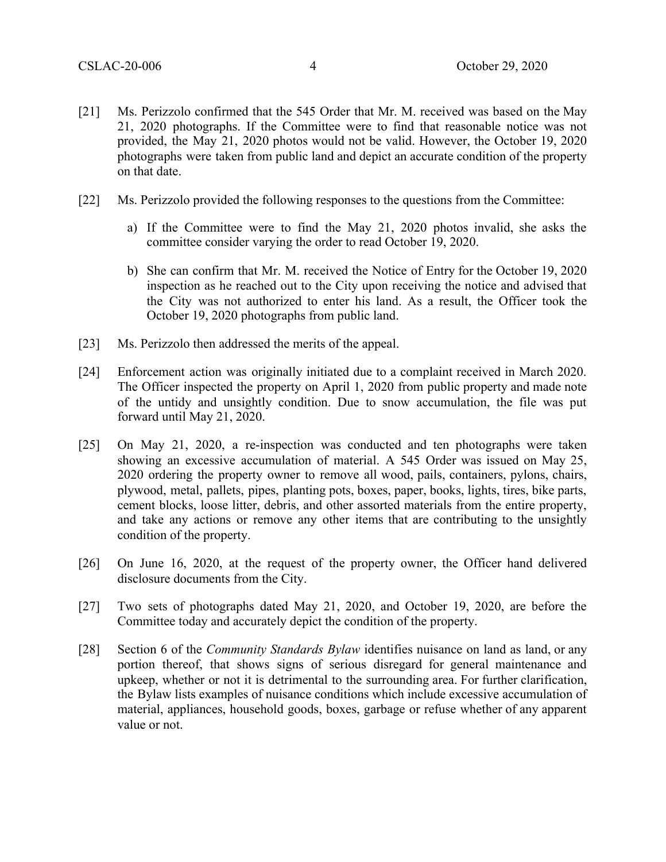- [21] Ms. Perizzolo confirmed that the 545 Order that Mr. M. received was based on the May 21, 2020 photographs. If the Committee were to find that reasonable notice was not provided, the May 21, 2020 photos would not be valid. However, the October 19, 2020 photographs were taken from public land and depict an accurate condition of the property on that date.
- [22] Ms. Perizzolo provided the following responses to the questions from the Committee:
	- a) If the Committee were to find the May 21, 2020 photos invalid, she asks the committee consider varying the order to read October 19, 2020.
	- b) She can confirm that Mr. M. received the Notice of Entry for the October 19, 2020 inspection as he reached out to the City upon receiving the notice and advised that the City was not authorized to enter his land. As a result, the Officer took the October 19, 2020 photographs from public land.
- [23] Ms. Perizzolo then addressed the merits of the appeal.
- [24] Enforcement action was originally initiated due to a complaint received in March 2020. The Officer inspected the property on April 1, 2020 from public property and made note of the untidy and unsightly condition. Due to snow accumulation, the file was put forward until May 21, 2020.
- [25] On May 21, 2020, a re-inspection was conducted and ten photographs were taken showing an excessive accumulation of material. A 545 Order was issued on May 25, 2020 ordering the property owner to remove all wood, pails, containers, pylons, chairs, plywood, metal, pallets, pipes, planting pots, boxes, paper, books, lights, tires, bike parts, cement blocks, loose litter, debris, and other assorted materials from the entire property, and take any actions or remove any other items that are contributing to the unsightly condition of the property.
- [26] On June 16, 2020, at the request of the property owner, the Officer hand delivered disclosure documents from the City.
- [27] Two sets of photographs dated May 21, 2020, and October 19, 2020, are before the Committee today and accurately depict the condition of the property.
- [28] Section 6 of the *Community Standards Bylaw* identifies nuisance on land as land, or any portion thereof, that shows signs of serious disregard for general maintenance and upkeep, whether or not it is detrimental to the surrounding area. For further clarification, the Bylaw lists examples of nuisance conditions which include excessive accumulation of material, appliances, household goods, boxes, garbage or refuse whether of any apparent value or not.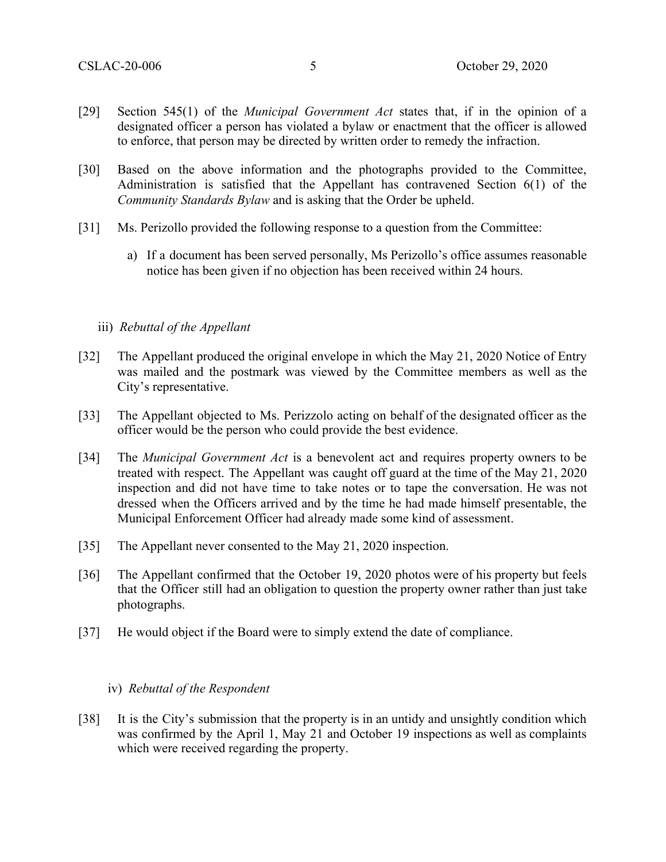- [29] Section 545(1) of the *Municipal Government Act* states that, if in the opinion of a designated officer a person has violated a bylaw or enactment that the officer is allowed to enforce, that person may be directed by written order to remedy the infraction.
- [30] Based on the above information and the photographs provided to the Committee, Administration is satisfied that the Appellant has contravened Section 6(1) of the *Community Standards Bylaw* and is asking that the Order be upheld.
- [31] Ms. Perizollo provided the following response to a question from the Committee:
	- a) If a document has been served personally, Ms Perizollo's office assumes reasonable notice has been given if no objection has been received within 24 hours.

## iii) *Rebuttal of the Appellant*

- [32] The Appellant produced the original envelope in which the May 21, 2020 Notice of Entry was mailed and the postmark was viewed by the Committee members as well as the City's representative.
- [33] The Appellant objected to Ms. Perizzolo acting on behalf of the designated officer as the officer would be the person who could provide the best evidence.
- [34] The *Municipal Government Act* is a benevolent act and requires property owners to be treated with respect. The Appellant was caught off guard at the time of the May 21, 2020 inspection and did not have time to take notes or to tape the conversation. He was not dressed when the Officers arrived and by the time he had made himself presentable, the Municipal Enforcement Officer had already made some kind of assessment.
- [35] The Appellant never consented to the May 21, 2020 inspection.
- [36] The Appellant confirmed that the October 19, 2020 photos were of his property but feels that the Officer still had an obligation to question the property owner rather than just take photographs.
- [37] He would object if the Board were to simply extend the date of compliance.

## iv) *Rebuttal of the Respondent*

[38] It is the City's submission that the property is in an untidy and unsightly condition which was confirmed by the April 1, May 21 and October 19 inspections as well as complaints which were received regarding the property.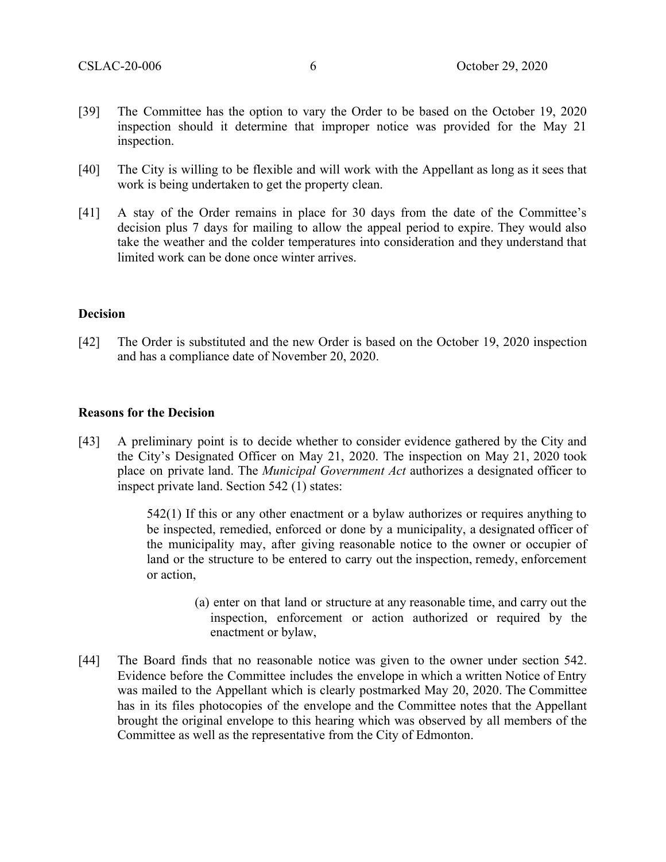- [39] The Committee has the option to vary the Order to be based on the October 19, 2020 inspection should it determine that improper notice was provided for the May 21 inspection.
- [40] The City is willing to be flexible and will work with the Appellant as long as it sees that work is being undertaken to get the property clean.
- [41] A stay of the Order remains in place for 30 days from the date of the Committee's decision plus 7 days for mailing to allow the appeal period to expire. They would also take the weather and the colder temperatures into consideration and they understand that limited work can be done once winter arrives.

## **Decision**

[42] The Order is substituted and the new Order is based on the October 19, 2020 inspection and has a compliance date of November 20, 2020.

#### **Reasons for the Decision**

[43] A preliminary point is to decide whether to consider evidence gathered by the City and the City's Designated Officer on May 21, 2020. The inspection on May 21, 2020 took place on private land. The *Municipal Government Act* authorizes a designated officer to inspect private land. Section 542 (1) states:

> 542(1) If this or any other enactment or a bylaw authorizes or requires anything to be inspected, remedied, enforced or done by a municipality, a designated officer of the municipality may, after giving reasonable notice to the owner or occupier of land or the structure to be entered to carry out the inspection, remedy, enforcement or action,

- (a) enter on that land or structure at any reasonable time, and carry out the inspection, enforcement or action authorized or required by the enactment or bylaw,
- [44] The Board finds that no reasonable notice was given to the owner under section 542. Evidence before the Committee includes the envelope in which a written Notice of Entry was mailed to the Appellant which is clearly postmarked May 20, 2020. The Committee has in its files photocopies of the envelope and the Committee notes that the Appellant brought the original envelope to this hearing which was observed by all members of the Committee as well as the representative from the City of Edmonton.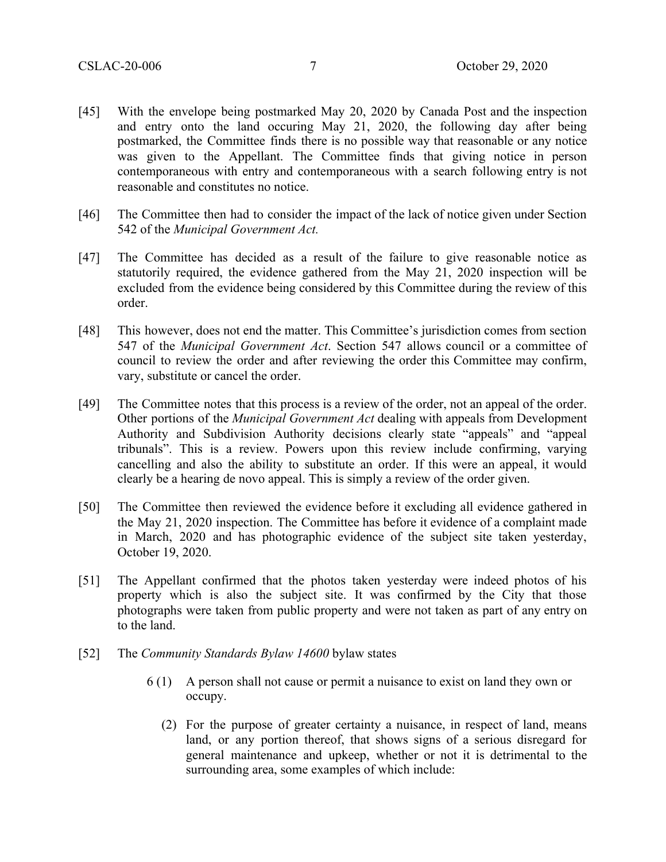- [45] With the envelope being postmarked May 20, 2020 by Canada Post and the inspection and entry onto the land occuring May 21, 2020, the following day after being postmarked, the Committee finds there is no possible way that reasonable or any notice was given to the Appellant. The Committee finds that giving notice in person contemporaneous with entry and contemporaneous with a search following entry is not reasonable and constitutes no notice.
- [46] The Committee then had to consider the impact of the lack of notice given under Section 542 of the *Municipal Government Act.*
- [47] The Committee has decided as a result of the failure to give reasonable notice as statutorily required, the evidence gathered from the May 21, 2020 inspection will be excluded from the evidence being considered by this Committee during the review of this order.
- [48] This however, does not end the matter. This Committee's jurisdiction comes from section 547 of the *Municipal Government Act*. Section 547 allows council or a committee of council to review the order and after reviewing the order this Committee may confirm, vary, substitute or cancel the order.
- [49] The Committee notes that this process is a review of the order, not an appeal of the order. Other portions of the *Municipal Government Act* dealing with appeals from Development Authority and Subdivision Authority decisions clearly state "appeals" and "appeal tribunals". This is a review. Powers upon this review include confirming, varying cancelling and also the ability to substitute an order. If this were an appeal, it would clearly be a hearing de novo appeal. This is simply a review of the order given.
- [50] The Committee then reviewed the evidence before it excluding all evidence gathered in the May 21, 2020 inspection. The Committee has before it evidence of a complaint made in March, 2020 and has photographic evidence of the subject site taken yesterday, October 19, 2020.
- [51] The Appellant confirmed that the photos taken yesterday were indeed photos of his property which is also the subject site. It was confirmed by the City that those photographs were taken from public property and were not taken as part of any entry on to the land.
- [52] The *Community Standards Bylaw 14600* bylaw states
	- 6 (1) A person shall not cause or permit a nuisance to exist on land they own or occupy.
		- (2) For the purpose of greater certainty a nuisance, in respect of land, means land, or any portion thereof, that shows signs of a serious disregard for general maintenance and upkeep, whether or not it is detrimental to the surrounding area, some examples of which include: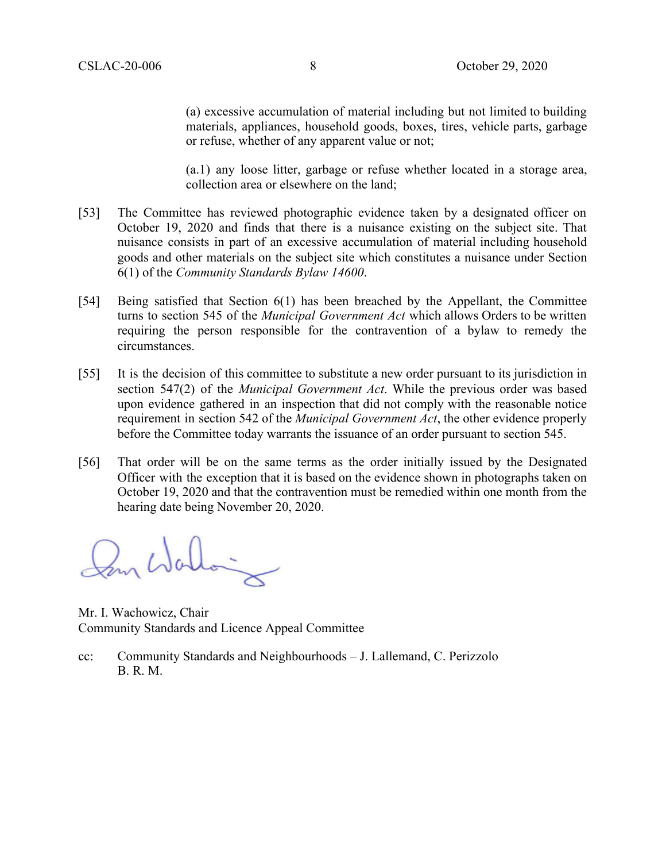(a) excessive accumulation of material including but not limited to building materials, appliances, household goods, boxes, tires, vehicle parts, garbage or refuse, whether of any apparent value or not;

(a.1) any loose litter, garbage or refuse whether located in a storage area, collection area or elsewhere on the land;

- [53] The Committee has reviewed photographic evidence taken by a designated officer on October 19, 2020 and finds that there is a nuisance existing on the subject site. That nuisance consists in part of an excessive accumulation of material including household goods and other materials on the subject site which constitutes a nuisance under Section 6(1) of the *Community Standards Bylaw 14600*.
- [54] Being satisfied that Section 6(1) has been breached by the Appellant, the Committee turns to section 545 of the *Municipal Government Act* which allows Orders to be written requiring the person responsible for the contravention of a bylaw to remedy the circumstances.
- [55] It is the decision of this committee to substitute a new order pursuant to its jurisdiction in section 547(2) of the *Municipal Government Act*. While the previous order was based upon evidence gathered in an inspection that did not comply with the reasonable notice requirement in section 542 of the *Municipal Government Act*, the other evidence properly before the Committee today warrants the issuance of an order pursuant to section 545.
- [56] That order will be on the same terms as the order initially issued by the Designated Officer with the exception that it is based on the evidence shown in photographs taken on October 19, 2020 and that the contravention must be remedied within one month from the hearing date being November 20, 2020.

m Wallain

Mr. I. Wachowicz, Chair Community Standards and Licence Appeal Committee

cc: Community Standards and Neighbourhoods – J. Lallemand, C. Perizzolo B. R. M.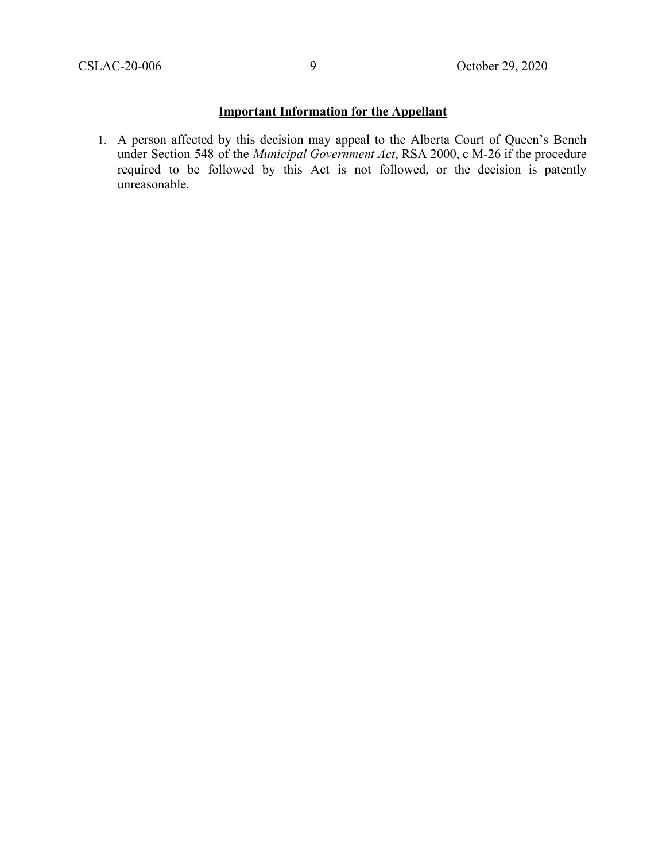# **Important Information for the Appellant**

1. A person affected by this decision may appeal to the Alberta Court of Queen's Bench under Section 548 of the *Municipal Government Act*, RSA 2000, c M-26 if the procedure required to be followed by this Act is not followed, or the decision is patently unreasonable.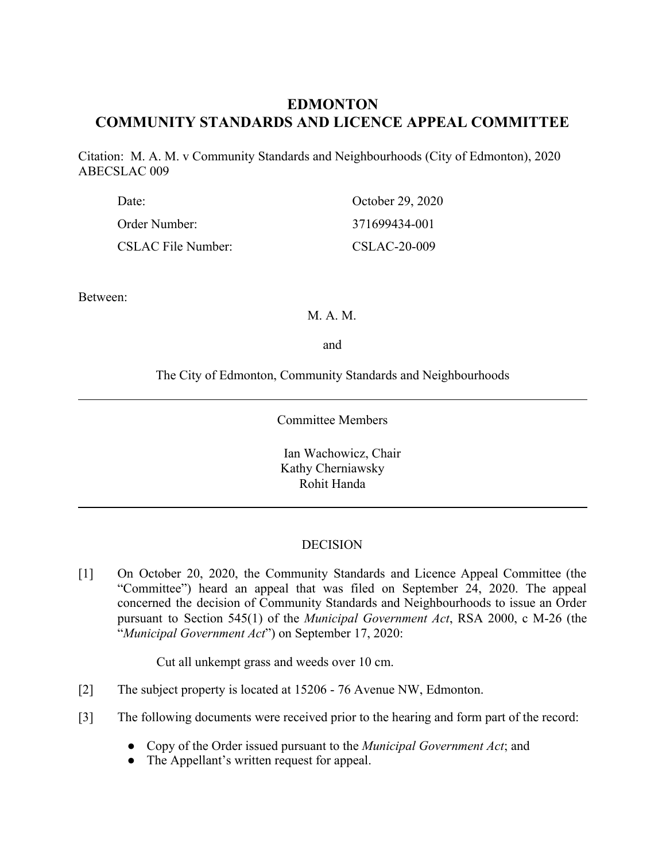# **EDMONTON COMMUNITY STANDARDS AND LICENCE APPEAL COMMITTEE**

Citation: M. A. M. v Community Standards and Neighbourhoods (City of Edmonton), 2020 ABECSLAC 009

| Date:                     | October 29, 2020 |
|---------------------------|------------------|
| Order Number:             | 371699434-001    |
| <b>CSLAC File Number:</b> | CSLAC-20-009     |

Between:

## M. A. M.

and

The City of Edmonton, Community Standards and Neighbourhoods

Committee Members

Ian Wachowicz, Chair Kathy Cherniawsky Rohit Handa

# DECISION

[1] On October 20, 2020, the Community Standards and Licence Appeal Committee (the "Committee") heard an appeal that was filed on September 24, 2020. The appeal concerned the decision of Community Standards and Neighbourhoods to issue an Order pursuant to Section 545(1) of the *Municipal Government Act*, RSA 2000, c M-26 (the "*Municipal Government Act*") on September 17, 2020:

Cut all unkempt grass and weeds over 10 cm.

- [2] The subject property is located at 15206 76 Avenue NW, Edmonton.
- [3] The following documents were received prior to the hearing and form part of the record:
	- Copy of the Order issued pursuant to the *Municipal Government Act*; and
	- The Appellant's written request for appeal.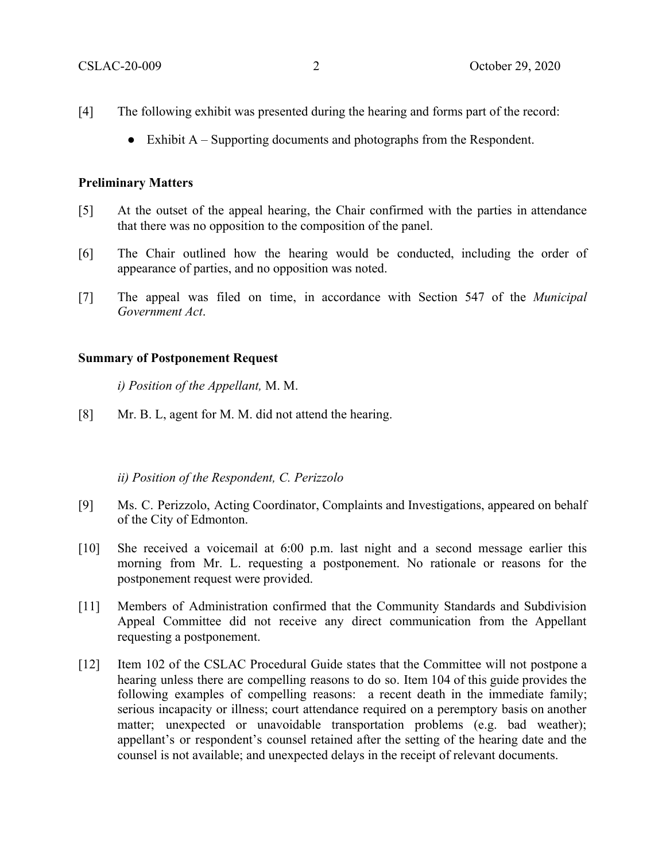- [4] The following exhibit was presented during the hearing and forms part of the record:
	- Exhibit A Supporting documents and photographs from the Respondent.

## **Preliminary Matters**

- [5] At the outset of the appeal hearing, the Chair confirmed with the parties in attendance that there was no opposition to the composition of the panel.
- [6] The Chair outlined how the hearing would be conducted, including the order of appearance of parties, and no opposition was noted.
- [7] The appeal was filed on time, in accordance with Section 547 of the *Municipal Government Act*.

## **Summary of Postponement Request**

*i) Position of the Appellant,* M. M.

[8] Mr. B. L, agent for M. M. did not attend the hearing.

- [9] Ms. C. Perizzolo, Acting Coordinator, Complaints and Investigations, appeared on behalf of the City of Edmonton.
- [10] She received a voicemail at 6:00 p.m. last night and a second message earlier this morning from Mr. L. requesting a postponement. No rationale or reasons for the postponement request were provided.
- [11] Members of Administration confirmed that the Community Standards and Subdivision Appeal Committee did not receive any direct communication from the Appellant requesting a postponement.
- [12] Item 102 of the CSLAC Procedural Guide states that the Committee will not postpone a hearing unless there are compelling reasons to do so. Item 104 of this guide provides the following examples of compelling reasons: a recent death in the immediate family; serious incapacity or illness; court attendance required on a peremptory basis on another matter; unexpected or unavoidable transportation problems (e.g. bad weather); appellant's or respondent's counsel retained after the setting of the hearing date and the counsel is not available; and unexpected delays in the receipt of relevant documents.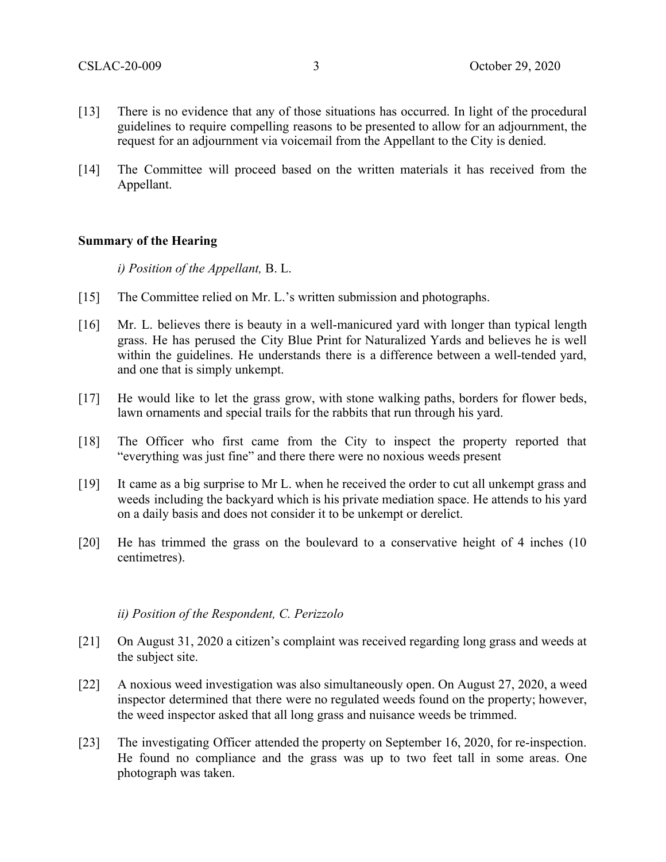- [13] There is no evidence that any of those situations has occurred. In light of the procedural guidelines to require compelling reasons to be presented to allow for an adjournment, the request for an adjournment via voicemail from the Appellant to the City is denied.
- [14] The Committee will proceed based on the written materials it has received from the Appellant.

#### **Summary of the Hearing**

*i) Position of the Appellant,* B. L.

- [15] The Committee relied on Mr. L.'s written submission and photographs.
- [16] Mr. L. believes there is beauty in a well-manicured yard with longer than typical length grass. He has perused the City Blue Print for Naturalized Yards and believes he is well within the guidelines. He understands there is a difference between a well-tended yard, and one that is simply unkempt.
- [17] He would like to let the grass grow, with stone walking paths, borders for flower beds, lawn ornaments and special trails for the rabbits that run through his yard.
- [18] The Officer who first came from the City to inspect the property reported that "everything was just fine" and there there were no noxious weeds present
- [19] It came as a big surprise to Mr L. when he received the order to cut all unkempt grass and weeds including the backyard which is his private mediation space. He attends to his yard on a daily basis and does not consider it to be unkempt or derelict.
- [20] He has trimmed the grass on the boulevard to a conservative height of 4 inches (10 centimetres).

- [21] On August 31, 2020 a citizen's complaint was received regarding long grass and weeds at the subject site.
- [22] A noxious weed investigation was also simultaneously open. On August 27, 2020, a weed inspector determined that there were no regulated weeds found on the property; however, the weed inspector asked that all long grass and nuisance weeds be trimmed.
- [23] The investigating Officer attended the property on September 16, 2020, for re-inspection. He found no compliance and the grass was up to two feet tall in some areas. One photograph was taken.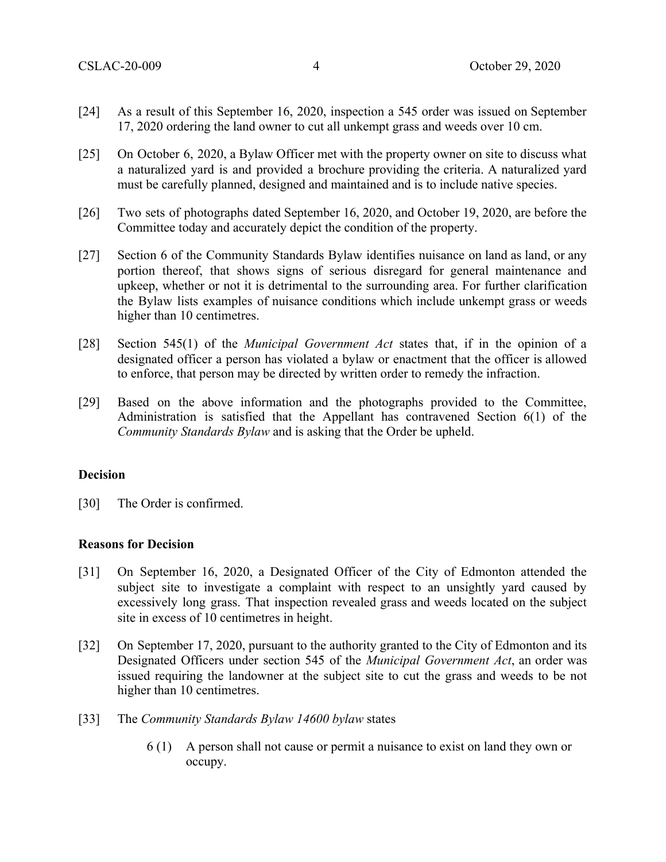- [24] As a result of this September 16, 2020, inspection a 545 order was issued on September 17, 2020 ordering the land owner to cut all unkempt grass and weeds over 10 cm.
- [25] On October 6, 2020, a Bylaw Officer met with the property owner on site to discuss what a naturalized yard is and provided a brochure providing the criteria. A naturalized yard must be carefully planned, designed and maintained and is to include native species.
- [26] Two sets of photographs dated September 16, 2020, and October 19, 2020, are before the Committee today and accurately depict the condition of the property.
- [27] Section 6 of the Community Standards Bylaw identifies nuisance on land as land, or any portion thereof, that shows signs of serious disregard for general maintenance and upkeep, whether or not it is detrimental to the surrounding area. For further clarification the Bylaw lists examples of nuisance conditions which include unkempt grass or weeds higher than 10 centimetres.
- [28] Section 545(1) of the *Municipal Government Act* states that, if in the opinion of a designated officer a person has violated a bylaw or enactment that the officer is allowed to enforce, that person may be directed by written order to remedy the infraction.
- [29] Based on the above information and the photographs provided to the Committee, Administration is satisfied that the Appellant has contravened Section 6(1) of the *Community Standards Bylaw* and is asking that the Order be upheld.

# **Decision**

[30] The Order is confirmed.

# **Reasons for Decision**

- [31] On September 16, 2020, a Designated Officer of the City of Edmonton attended the subject site to investigate a complaint with respect to an unsightly yard caused by excessively long grass. That inspection revealed grass and weeds located on the subject site in excess of 10 centimetres in height.
- [32] On September 17, 2020, pursuant to the authority granted to the City of Edmonton and its Designated Officers under section 545 of the *Municipal Government Act*, an order was issued requiring the landowner at the subject site to cut the grass and weeds to be not higher than 10 centimetres.
- [33] The *Community Standards Bylaw 14600 bylaw* states
	- 6 (1) A person shall not cause or permit a nuisance to exist on land they own or occupy.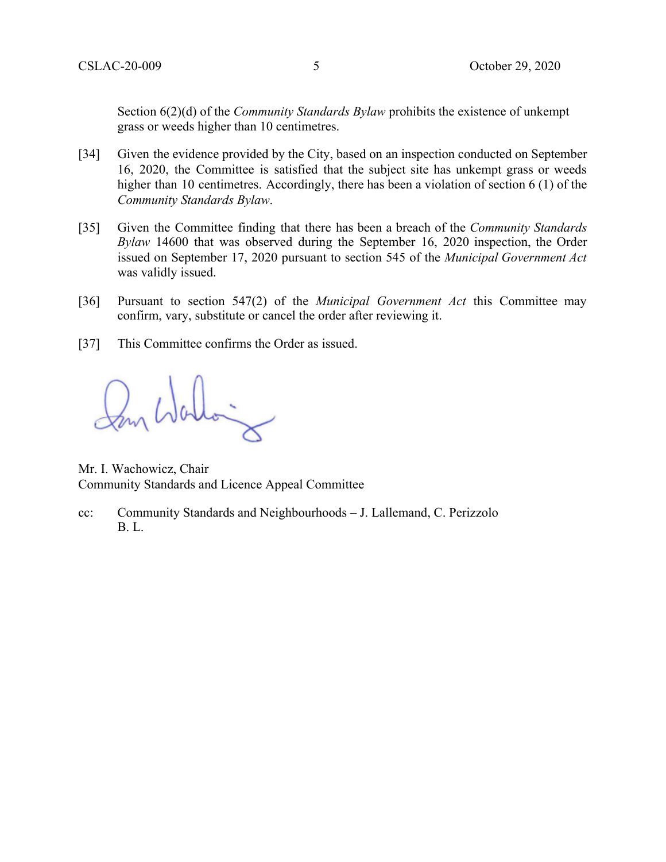Section 6(2)(d) of the *Community Standards Bylaw* prohibits the existence of unkempt grass or weeds higher than 10 centimetres.

- [34] Given the evidence provided by the City, based on an inspection conducted on September 16, 2020, the Committee is satisfied that the subject site has unkempt grass or weeds higher than 10 centimetres. Accordingly, there has been a violation of section 6 (1) of the *Community Standards Bylaw*.
- [35] Given the Committee finding that there has been a breach of the *Community Standards Bylaw* 14600 that was observed during the September 16, 2020 inspection, the Order issued on September 17, 2020 pursuant to section 545 of the *Municipal Government Act* was validly issued.
- [36] Pursuant to section 547(2) of the *Municipal Government Act* this Committee may confirm, vary, substitute or cancel the order after reviewing it.
- [37] This Committee confirms the Order as issued.

Mr. I. Wachowicz, Chair Community Standards and Licence Appeal Committee

cc: Community Standards and Neighbourhoods – J. Lallemand, C. Perizzolo B. L.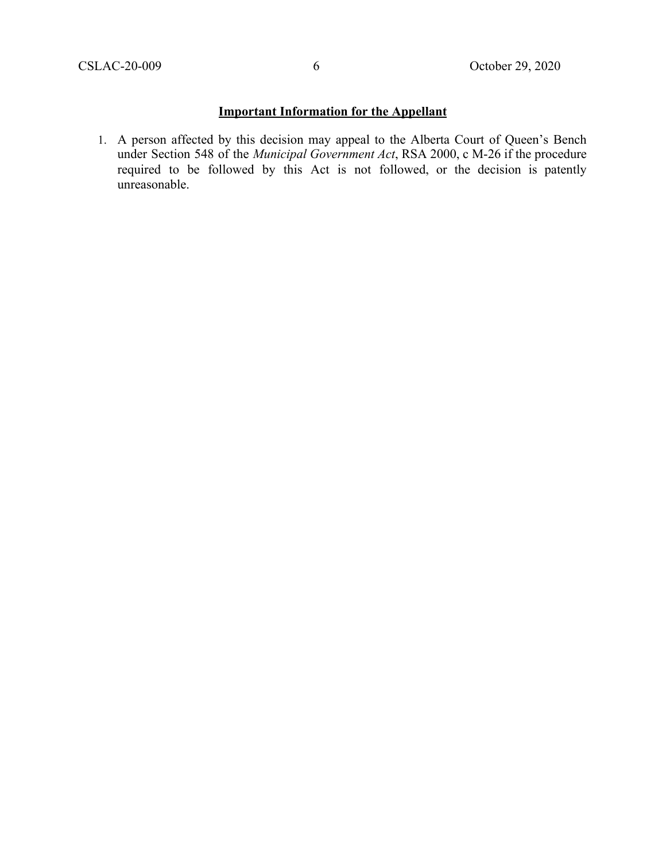# **Important Information for the Appellant**

1. A person affected by this decision may appeal to the Alberta Court of Queen's Bench under Section 548 of the *Municipal Government Act*, RSA 2000, c M-26 if the procedure required to be followed by this Act is not followed, or the decision is patently unreasonable.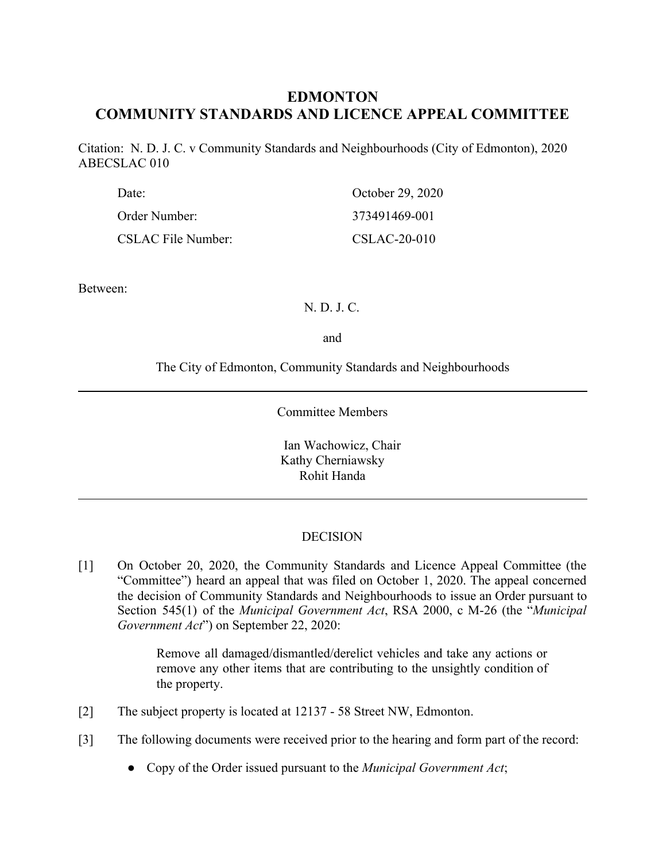# **EDMONTON COMMUNITY STANDARDS AND LICENCE APPEAL COMMITTEE**

Citation: N. D. J. C. v Community Standards and Neighbourhoods (City of Edmonton), 2020 ABECSLAC 010

| Date:              | October 29, 2020 |
|--------------------|------------------|
| Order Number:      | 373491469-001    |
| CSLAC File Number: | $CSLAC-20-010$   |

Between:

# N. D. J. C.

and

The City of Edmonton, Community Standards and Neighbourhoods

Committee Members

Ian Wachowicz, Chair Kathy Cherniawsky Rohit Handa

# **DECISION**

[1] On October 20, 2020, the Community Standards and Licence Appeal Committee (the "Committee") heard an appeal that was filed on October 1, 2020. The appeal concerned the decision of Community Standards and Neighbourhoods to issue an Order pursuant to Section 545(1) of the *Municipal Government Act*, RSA 2000, c M-26 (the "*Municipal Government Act*") on September 22, 2020:

> Remove all damaged/dismantled/derelict vehicles and take any actions or remove any other items that are contributing to the unsightly condition of the property.

- [2] The subject property is located at 12137 58 Street NW, Edmonton.
- [3] The following documents were received prior to the hearing and form part of the record:
	- Copy of the Order issued pursuant to the *Municipal Government Act*;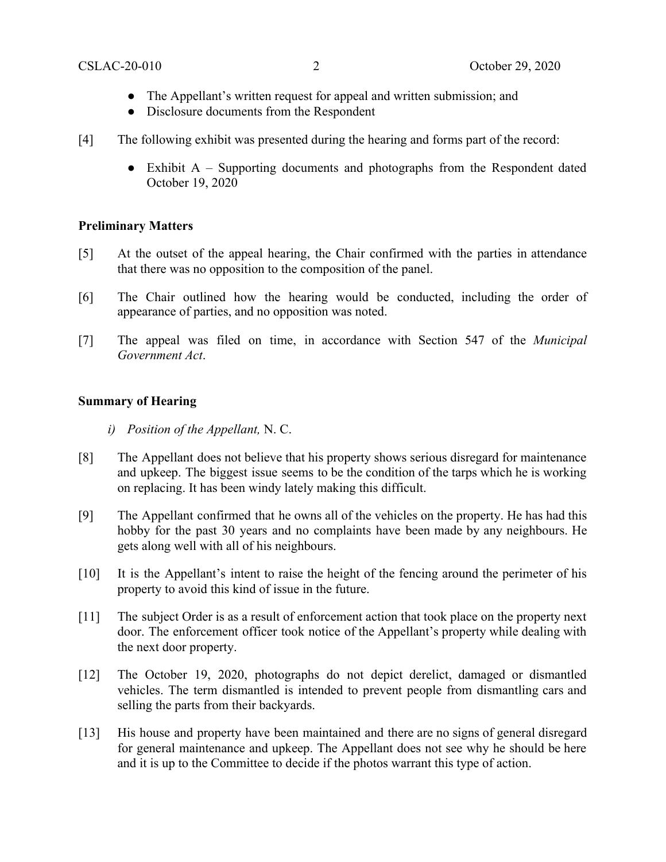- The Appellant's written request for appeal and written submission; and
- Disclosure documents from the Respondent
- [4] The following exhibit was presented during the hearing and forms part of the record:
	- $\bullet$  Exhibit A Supporting documents and photographs from the Respondent dated October 19, 2020

# **Preliminary Matters**

- [5] At the outset of the appeal hearing, the Chair confirmed with the parties in attendance that there was no opposition to the composition of the panel.
- [6] The Chair outlined how the hearing would be conducted, including the order of appearance of parties, and no opposition was noted.
- [7] The appeal was filed on time, in accordance with Section 547 of the *Municipal Government Act*.

# **Summary of Hearing**

- *i) Position of the Appellant,* N. C.
- [8] The Appellant does not believe that his property shows serious disregard for maintenance and upkeep. The biggest issue seems to be the condition of the tarps which he is working on replacing. It has been windy lately making this difficult.
- [9] The Appellant confirmed that he owns all of the vehicles on the property. He has had this hobby for the past 30 years and no complaints have been made by any neighbours. He gets along well with all of his neighbours.
- [10] It is the Appellant's intent to raise the height of the fencing around the perimeter of his property to avoid this kind of issue in the future.
- [11] The subject Order is as a result of enforcement action that took place on the property next door. The enforcement officer took notice of the Appellant's property while dealing with the next door property.
- [12] The October 19, 2020, photographs do not depict derelict, damaged or dismantled vehicles. The term dismantled is intended to prevent people from dismantling cars and selling the parts from their backyards.
- [13] His house and property have been maintained and there are no signs of general disregard for general maintenance and upkeep. The Appellant does not see why he should be here and it is up to the Committee to decide if the photos warrant this type of action.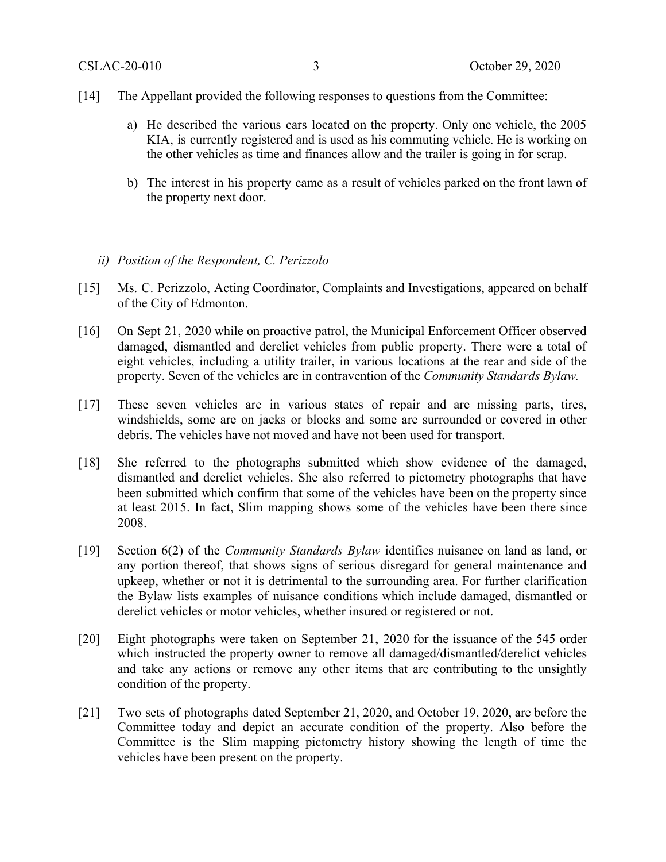- [14] The Appellant provided the following responses to questions from the Committee:
	- a) He described the various cars located on the property. Only one vehicle, the 2005 KIA, is currently registered and is used as his commuting vehicle. He is working on the other vehicles as time and finances allow and the trailer is going in for scrap.
	- b) The interest in his property came as a result of vehicles parked on the front lawn of the property next door.

- [15] Ms. C. Perizzolo, Acting Coordinator, Complaints and Investigations, appeared on behalf of the City of Edmonton.
- [16] On Sept 21, 2020 while on proactive patrol, the Municipal Enforcement Officer observed damaged, dismantled and derelict vehicles from public property. There were a total of eight vehicles, including a utility trailer, in various locations at the rear and side of the property. Seven of the vehicles are in contravention of the *Community Standards Bylaw.*
- [17] These seven vehicles are in various states of repair and are missing parts, tires, windshields, some are on jacks or blocks and some are surrounded or covered in other debris. The vehicles have not moved and have not been used for transport.
- [18] She referred to the photographs submitted which show evidence of the damaged, dismantled and derelict vehicles. She also referred to pictometry photographs that have been submitted which confirm that some of the vehicles have been on the property since at least 2015. In fact, Slim mapping shows some of the vehicles have been there since 2008.
- [19] Section 6(2) of the *Community Standards Bylaw* identifies nuisance on land as land, or any portion thereof, that shows signs of serious disregard for general maintenance and upkeep, whether or not it is detrimental to the surrounding area. For further clarification the Bylaw lists examples of nuisance conditions which include damaged, dismantled or derelict vehicles or motor vehicles, whether insured or registered or not.
- [20] Eight photographs were taken on September 21, 2020 for the issuance of the 545 order which instructed the property owner to remove all damaged/dismantled/derelict vehicles and take any actions or remove any other items that are contributing to the unsightly condition of the property.
- [21] Two sets of photographs dated September 21, 2020, and October 19, 2020, are before the Committee today and depict an accurate condition of the property. Also before the Committee is the Slim mapping pictometry history showing the length of time the vehicles have been present on the property.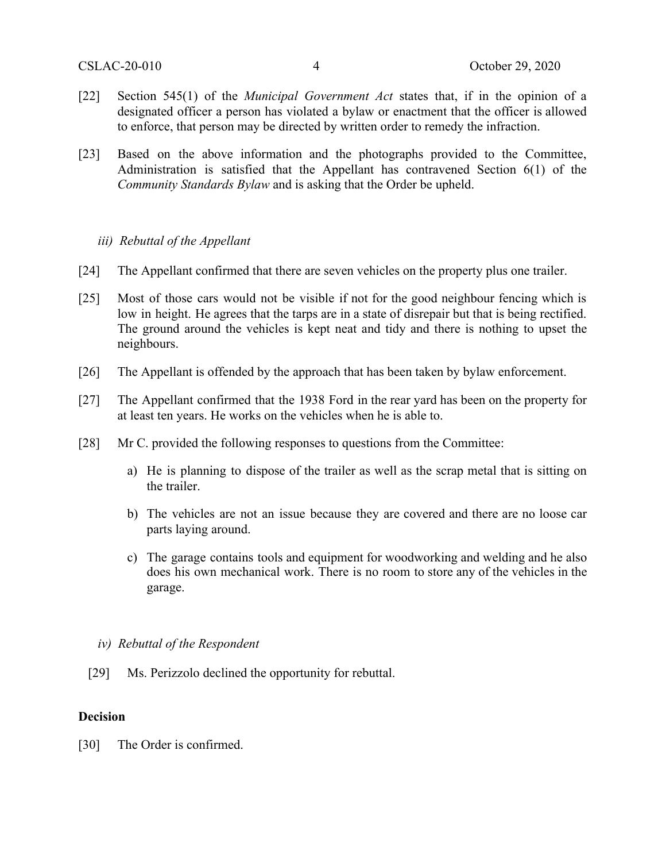- [22] Section 545(1) of the *Municipal Government Act* states that, if in the opinion of a designated officer a person has violated a bylaw or enactment that the officer is allowed to enforce, that person may be directed by written order to remedy the infraction.
- [23] Based on the above information and the photographs provided to the Committee, Administration is satisfied that the Appellant has contravened Section 6(1) of the *Community Standards Bylaw* and is asking that the Order be upheld.

## *iii) Rebuttal of the Appellant*

- [24] The Appellant confirmed that there are seven vehicles on the property plus one trailer.
- [25] Most of those cars would not be visible if not for the good neighbour fencing which is low in height. He agrees that the tarps are in a state of disrepair but that is being rectified. The ground around the vehicles is kept neat and tidy and there is nothing to upset the neighbours.
- [26] The Appellant is offended by the approach that has been taken by bylaw enforcement.
- [27] The Appellant confirmed that the 1938 Ford in the rear yard has been on the property for at least ten years. He works on the vehicles when he is able to.
- [28] Mr C. provided the following responses to questions from the Committee:
	- a) He is planning to dispose of the trailer as well as the scrap metal that is sitting on the trailer.
	- b) The vehicles are not an issue because they are covered and there are no loose car parts laying around.
	- c) The garage contains tools and equipment for woodworking and welding and he also does his own mechanical work. There is no room to store any of the vehicles in the garage.
	- *iv) Rebuttal of the Respondent*
	- [29] Ms. Perizzolo declined the opportunity for rebuttal.

#### **Decision**

[30] The Order is confirmed.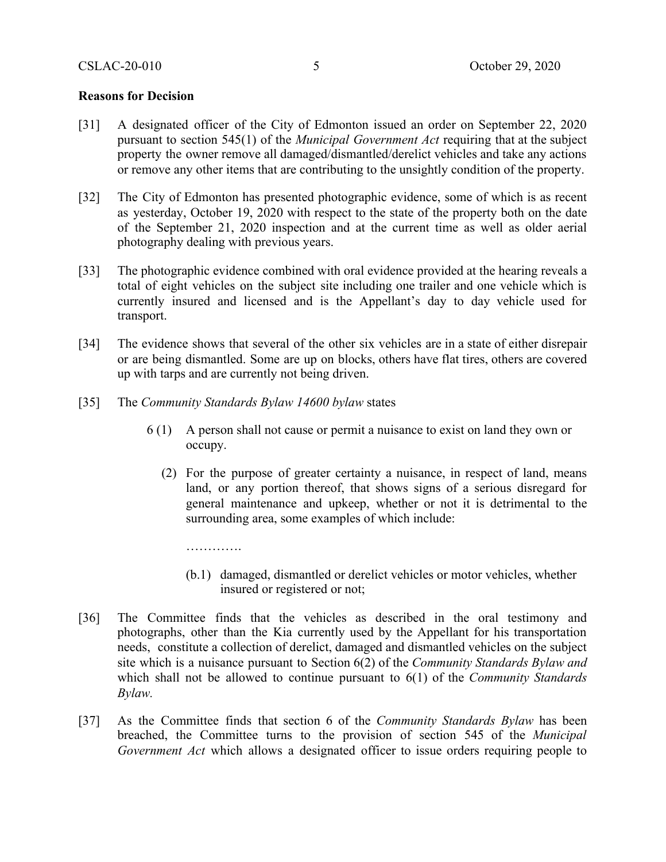# **Reasons for Decision**

- [31] A designated officer of the City of Edmonton issued an order on September 22, 2020 pursuant to section 545(1) of the *Municipal Government Act* requiring that at the subject property the owner remove all damaged/dismantled/derelict vehicles and take any actions or remove any other items that are contributing to the unsightly condition of the property.
- [32] The City of Edmonton has presented photographic evidence, some of which is as recent as yesterday, October 19, 2020 with respect to the state of the property both on the date of the September 21, 2020 inspection and at the current time as well as older aerial photography dealing with previous years.
- [33] The photographic evidence combined with oral evidence provided at the hearing reveals a total of eight vehicles on the subject site including one trailer and one vehicle which is currently insured and licensed and is the Appellant's day to day vehicle used for transport.
- [34] The evidence shows that several of the other six vehicles are in a state of either disrepair or are being dismantled. Some are up on blocks, others have flat tires, others are covered up with tarps and are currently not being driven.
- [35] The *Community Standards Bylaw 14600 bylaw* states

………….

- 6 (1) A person shall not cause or permit a nuisance to exist on land they own or occupy.
	- (2) For the purpose of greater certainty a nuisance, in respect of land, means land, or any portion thereof, that shows signs of a serious disregard for general maintenance and upkeep, whether or not it is detrimental to the surrounding area, some examples of which include:
		- (b.1) damaged, dismantled or derelict vehicles or motor vehicles, whether insured or registered or not;
- [36] The Committee finds that the vehicles as described in the oral testimony and photographs, other than the Kia currently used by the Appellant for his transportation needs, constitute a collection of derelict, damaged and dismantled vehicles on the subject site which is a nuisance pursuant to Section 6(2) of the *Community Standards Bylaw and* which shall not be allowed to continue pursuant to 6(1) of the *Community Standards Bylaw.*
- [37] As the Committee finds that section 6 of the *Community Standards Bylaw* has been breached, the Committee turns to the provision of section 545 of the *Municipal Government Act* which allows a designated officer to issue orders requiring people to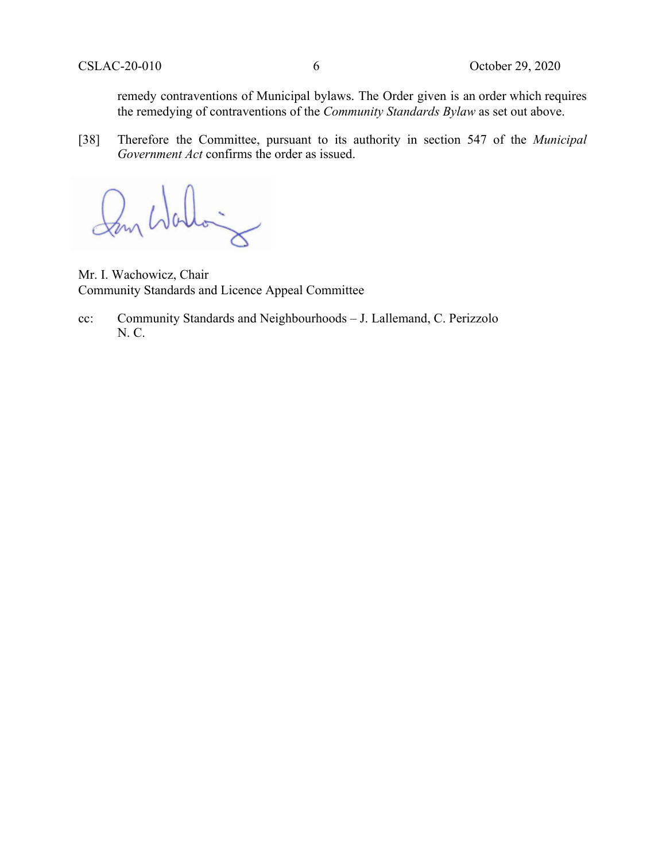remedy contraventions of Municipal bylaws. The Order given is an order which requires the remedying of contraventions of the *Community Standards Bylaw* as set out above.

[38] Therefore the Committee, pursuant to its authority in section 547 of the *Municipal Government Act* confirms the order as issued.

Mr. I. Wachowicz, Chair Community Standards and Licence Appeal Committee

cc: Community Standards and Neighbourhoods – J. Lallemand, C. Perizzolo N. C.